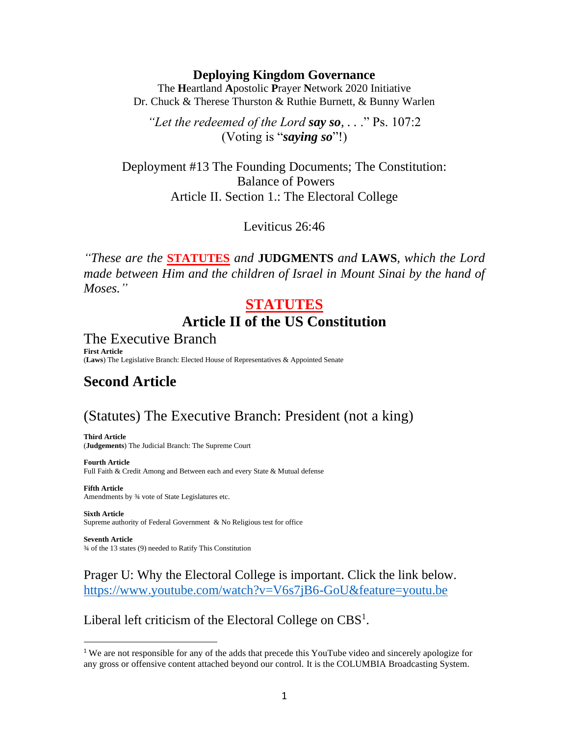#### **Deploying Kingdom Governance**

The **H**eartland **A**postolic **P**rayer **N**etwork 2020 Initiative Dr. Chuck & Therese Thurston & Ruthie Burnett, & Bunny Warlen

*"Let the redeemed of the Lord say so, . .* ." Ps. 107:2 (Voting is "*saying so*"!)

Deployment #13 The Founding Documents; The Constitution: Balance of Powers Article II. Section 1.: The Electoral College

Leviticus 26:46

*"These are the* **STATUTES** *and* **JUDGMENTS** *and* **LAWS***, which the Lord made between Him and the children of Israel in Mount Sinai by the hand of Moses."*

## **STATUTES Article II of the US Constitution**

The Executive Branch **First Article** (**Laws**) The Legislative Branch: Elected House of Representatives & Appointed Senate

## **Second Article**

# (Statutes) The Executive Branch: President (not a king)

**Third Article** (**Judgements**) The Judicial Branch: The Supreme Court

**Fourth Article** Full Faith & Credit Among and Between each and every State & Mutual defense

**Fifth Article** Amendments by ¾ vote of State Legislatures etc.

**Sixth Article** Supreme authority of Federal Government & No Religious test for office

**Seventh Article** ¾ of the 13 states (9) needed to Ratify This Constitution

Prager U: Why the Electoral College is important. Click the link below. <https://www.youtube.com/watch?v=V6s7jB6-GoU&feature=youtu.be>

Liberal left criticism of the Electoral College on CBS<sup>1</sup>.

<sup>1</sup> We are not responsible for any of the adds that precede this YouTube video and sincerely apologize for any gross or offensive content attached beyond our control. It is the COLUMBIA Broadcasting System.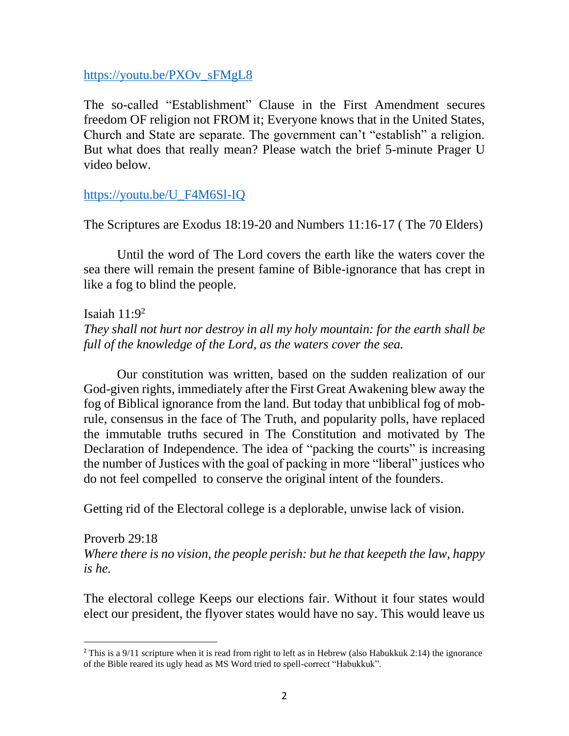## [https://youtu.be/PXOv\\_sFMgL8](https://youtu.be/PXOv_sFMgL8)

The so-called "Establishment" Clause in the First Amendment secures freedom OF religion not FROM it; Everyone knows that in the United States, Church and State are separate. The government can't "establish" a religion. But what does that really mean? Please watch the brief 5-minute Prager U video below.

## [https://youtu.be/U\\_F4M6Sl-IQ](https://youtu.be/U_F4M6Sl-IQ)

The Scriptures are Exodus 18:19-20 and Numbers 11:16-17 ( The 70 Elders)

Until the word of The Lord covers the earth like the waters cover the sea there will remain the present famine of Bible-ignorance that has crept in like a fog to blind the people.

Isaiah  $11:9<sup>2</sup>$ *They shall not hurt nor destroy in all my holy mountain: for the earth shall be full of the knowledge of the Lord, as the waters cover the sea.*

Our constitution was written, based on the sudden realization of our God-given rights, immediately after the First Great Awakening blew away the fog of Biblical ignorance from the land. But today that unbiblical fog of mobrule, consensus in the face of The Truth, and popularity polls, have replaced the immutable truths secured in The Constitution and motivated by The Declaration of Independence. The idea of "packing the courts" is increasing the number of Justices with the goal of packing in more "liberal" justices who do not feel compelled to conserve the original intent of the founders.

Getting rid of the Electoral college is a deplorable, unwise lack of vision.

Proverb 29:18 *Where there is no vision, the people perish: but he that keepeth the law, happy is he.*

The electoral college Keeps our elections fair. Without it four states would elect our president, the flyover states would have no say. This would leave us

<sup>&</sup>lt;sup>2</sup> This is a 9/11 scripture when it is read from right to left as in Hebrew (also Habukkuk 2:14) the ignorance of the Bible reared its ugly head as MS Word tried to spell-correct "Habukkuk".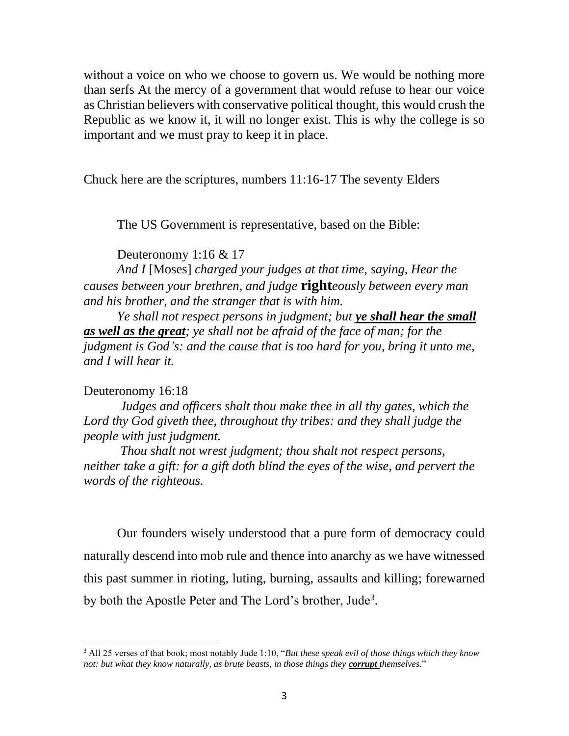without a voice on who we choose to govern us. We would be nothing more than serfs At the mercy of a government that would refuse to hear our voice as Christian believers with conservative political thought, this would crush the Republic as we know it, it will no longer exist. This is why the college is so important and we must pray to keep it in place.

Chuck here are the scriptures, numbers 11:16-17 The seventy Elders

The US Government is representative, based on the Bible:

Deuteronomy 1:16 & 17

*And I* [Moses] *charged your judges at that time, saying, Hear the causes between your brethren, and judge* **right***eously between every man and his brother, and the stranger that is with him.*

*Ye shall not respect persons in judgment; but ye shall hear the small as well as the great; ye shall not be afraid of the face of man; for the judgment is God's: and the cause that is too hard for you, bring it unto me, and I will hear it.*

### Deuteronomy 16:18

*Judges and officers shalt thou make thee in all thy gates, which the Lord thy God giveth thee, throughout thy tribes: and they shall judge the people with just judgment.*

*Thou shalt not wrest judgment; thou shalt not respect persons, neither take a gift: for a gift doth blind the eyes of the wise, and pervert the words of the righteous.*

Our founders wisely understood that a pure form of democracy could naturally descend into mob rule and thence into anarchy as we have witnessed this past summer in rioting, luting, burning, assaults and killing; forewarned by both the Apostle Peter and The Lord's brother, Jude<sup>3</sup>.

<sup>3</sup> All 25 verses of that book; most notably Jude 1:10, "*But these speak evil of those things which they know not: but what they know naturally, as brute beasts, in those things they corrupt themselves*."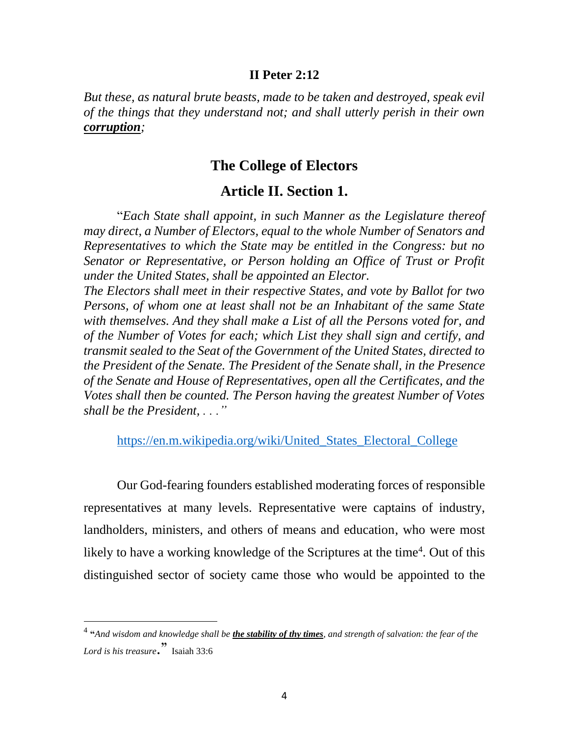#### **II Peter 2:12**

*But these, as natural brute beasts, made to be taken and destroyed, speak evil of the things that they understand not; and shall utterly perish in their own corruption;*

## **The College of Electors**

## **Article II. Section 1.**

"*Each State shall appoint, in such Manner as the Legislature thereof may direct, a Number of Electors, equal to the whole Number of Senators and Representatives to which the State may be entitled in the Congress: but no Senator or Representative, or Person holding an Office of Trust or Profit under the United States, shall be appointed an Elector.*

*The Electors shall meet in their respective States, and vote by Ballot for two Persons, of whom one at least shall not be an Inhabitant of the same State with themselves. And they shall make a List of all the Persons voted for, and of the Number of Votes for each; which List they shall sign and certify, and transmit sealed to the Seat of the Government of the United States, directed to the President of the Senate. The President of the Senate shall, in the Presence of the Senate and House of Representatives, open all the Certificates, and the Votes shall then be counted. The Person having the greatest Number of Votes shall be the President, . . ."*

[https://en.m.wikipedia.org/wiki/United\\_States\\_Electoral\\_College](https://en.m.wikipedia.org/wiki/United_States_Electoral_College)

Our God-fearing founders established moderating forces of responsible representatives at many levels. Representative were captains of industry, landholders, ministers, and others of means and education, who were most likely to have a working knowledge of the Scriptures at the time<sup>4</sup>. Out of this distinguished sector of society came those who would be appointed to the

<sup>4</sup> **"***And wisdom and knowledge shall be the stability of thy times, and strength of salvation: the fear of the Lord is his treasure*." Isaiah 33:6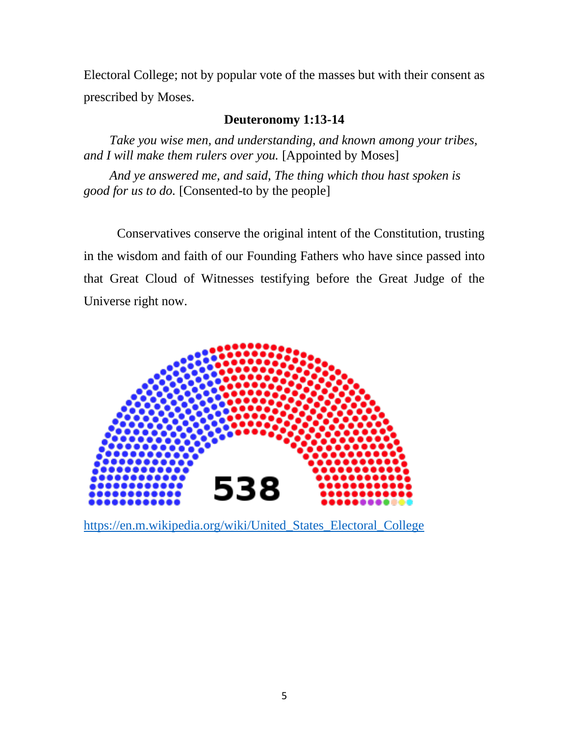Electoral College; not by popular vote of the masses but with their consent as prescribed by Moses.

### **Deuteronomy 1:13-14**

*Take you wise men, and understanding, and known among your tribes, and I will make them rulers over you.* [Appointed by Moses]

*And ye answered me, and said, The thing which thou hast spoken is good for us to do.* [Consented-to by the people]

Conservatives conserve the original intent of the Constitution, trusting in the wisdom and faith of our Founding Fathers who have since passed into that Great Cloud of Witnesses testifying before the Great Judge of the Universe right now.



[https://en.m.wikipedia.org/wiki/United\\_States\\_Electoral\\_College](https://en.m.wikipedia.org/wiki/United_States_Electoral_College)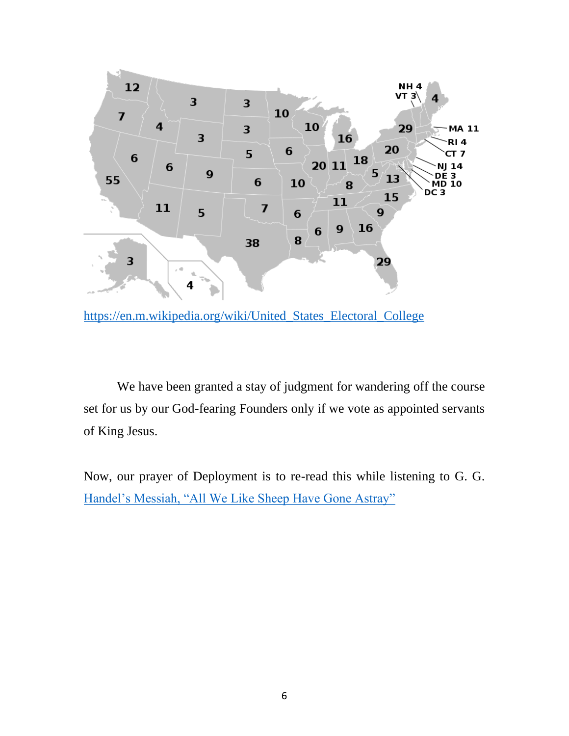

[https://en.m.wikipedia.org/wiki/United\\_States\\_Electoral\\_College](https://en.m.wikipedia.org/wiki/United_States_Electoral_College)

We have been granted a stay of judgment for wandering off the course set for us by our God-fearing Founders only if we vote as appointed servants of King Jesus.

Now, our prayer of Deployment is to re-read this while listening to G. G. [Handel's Messiah, "All We Like Sheep Have Gone Astray"](https://youtu.be/9cJPnmpojiQ)